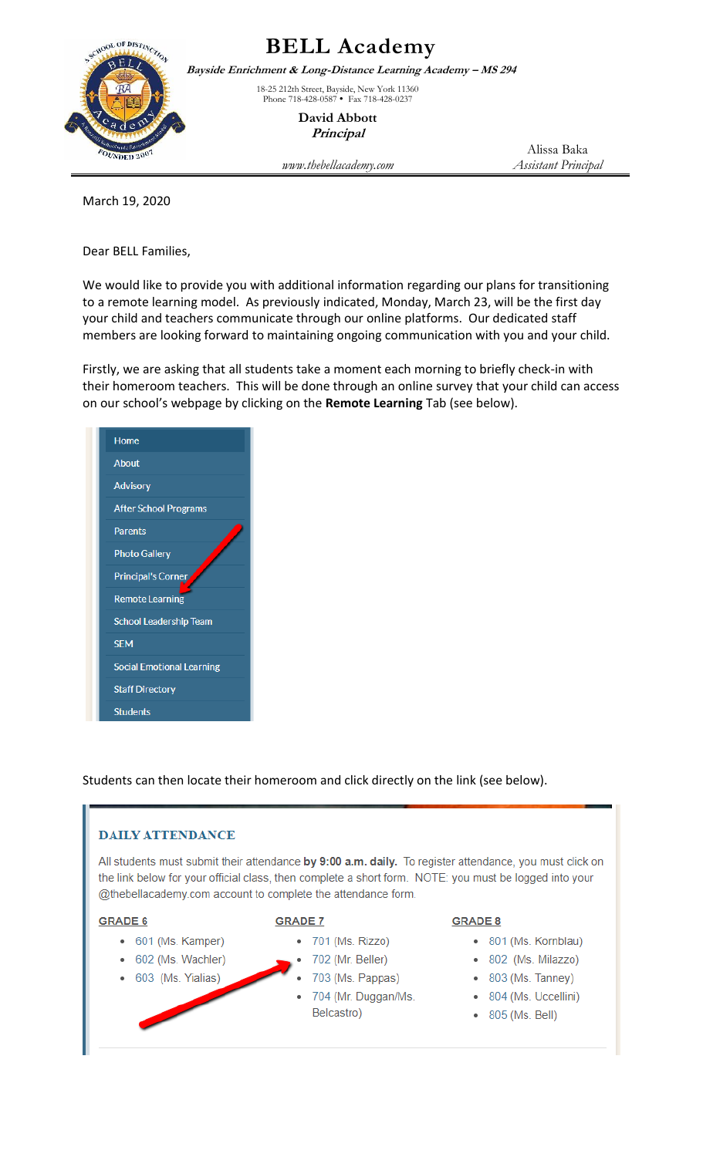

## **BELL Academy**

**Bayside Enrichment & Long-Distance Learning Academy – MS 294**

18-25 212th Street, Bayside, New York 11360 Phone 718-428-0587 • Fax 718-428-0237

> **David Abbott Principal**

Alissa Baka

*www.thebellacademy.com Assistant Principal*

March 19, 2020

Dear BELL Families,

We would like to provide you with additional information regarding our plans for transitioning to a remote learning model. As previously indicated, Monday, March 23, will be the first day your child and teachers communicate through our online platforms. Our dedicated staff members are looking forward to maintaining ongoing communication with you and your child.

Firstly, we are asking that all students take a moment each morning to briefly check-in with their homeroom teachers. This will be done through an online survey that your child can access on our school's webpage by clicking on the **Remote Learning** Tab (see below).

| Home                             |
|----------------------------------|
| <b>About</b>                     |
| <b>Advisory</b>                  |
| <b>After School Programs</b>     |
| <b>Parents</b>                   |
| <b>Photo Gallery</b>             |
| <b>Principal's Corner</b>        |
| <b>Remote Learning</b>           |
| <b>School Leadership Team</b>    |
| <b>SEM</b>                       |
| <b>Social Emotional Learning</b> |
| <b>Staff Directory</b>           |
| <b>Students</b>                  |

Students can then locate their homeroom and click directly on the link (see below).

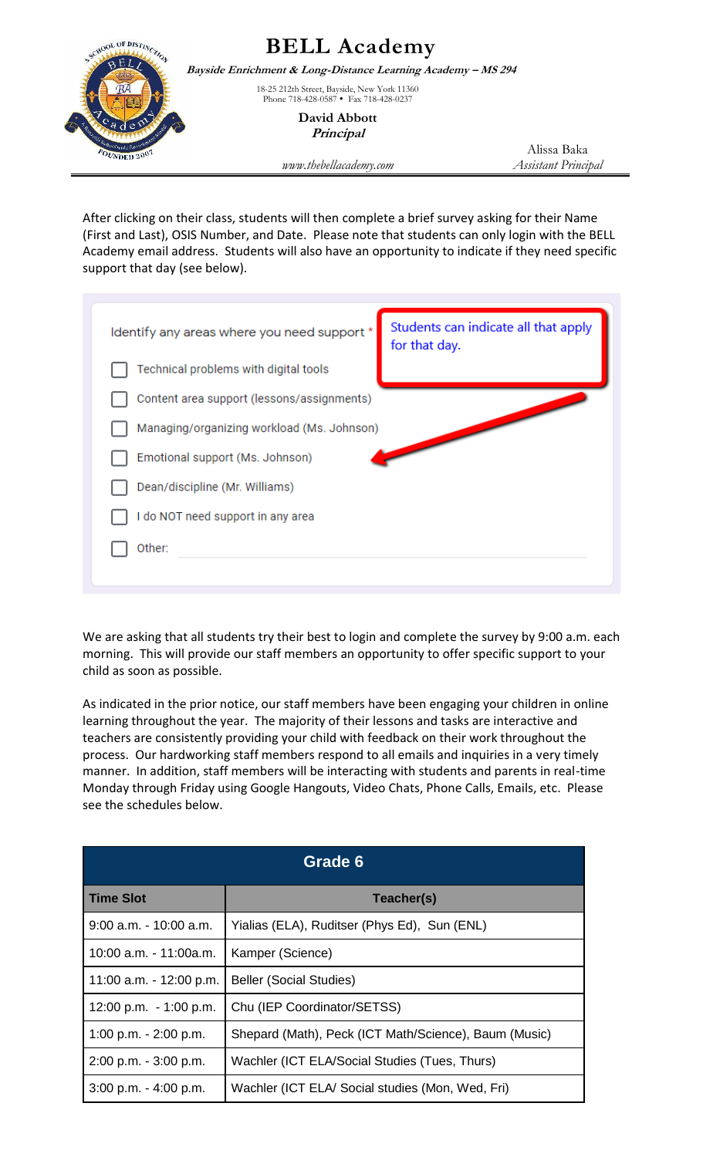

After clicking on their class, students will then complete a brief survey asking for their Name (First and Last), OSIS Number, and Date. Please note that students can only login with the BELL Academy email address. Students will also have an opportunity to indicate if they need specific support that day (see below).

| Identify any areas where you need support  | Students can indicate all that apply<br>for that day. |  |
|--------------------------------------------|-------------------------------------------------------|--|
| Technical problems with digital tools      |                                                       |  |
| Content area support (lessons/assignments) |                                                       |  |
| Managing/organizing workload (Ms. Johnson) |                                                       |  |
| Emotional support (Ms. Johnson)            |                                                       |  |
| Dean/discipline (Mr. Williams)             |                                                       |  |
| I do NOT need support in any area          |                                                       |  |
| Other:                                     |                                                       |  |
|                                            |                                                       |  |

We are asking that all students try their best to login and complete the survey by 9:00 a.m. each morning. This will provide our staff members an opportunity to offer specific support to your child as soon as possible.

As indicated in the prior notice, our staff members have been engaging your children in online learning throughout the year. The majority of their lessons and tasks are interactive and teachers are consistently providing your child with feedback on their work throughout the process. Our hardworking staff members respond to all emails and inquiries in a very timely manner. In addition, staff members will be interacting with students and parents in real-time Monday through Friday using Google Hangouts, Video Chats, Phone Calls, Emails, etc. Please see the schedules below.

| Grade 6                   |                                                       |  |
|---------------------------|-------------------------------------------------------|--|
| <b>Time Slot</b>          | Teacher(s)                                            |  |
| $9:00$ a.m. $-10:00$ a.m. | Yialias (ELA), Ruditser (Phys Ed), Sun (ENL)          |  |
| 10:00 a.m. - 11:00a.m.    | Kamper (Science)                                      |  |
| 11:00 a.m. - 12:00 p.m.   | <b>Beller (Social Studies)</b>                        |  |
| 12:00 p.m. $-1:00$ p.m.   | Chu (IEP Coordinator/SETSS)                           |  |
| 1:00 p.m. $- 2:00$ p.m.   | Shepard (Math), Peck (ICT Math/Science), Baum (Music) |  |
| $2:00$ p.m. $-3:00$ p.m.  | Wachler (ICT ELA/Social Studies (Tues, Thurs)         |  |
| $3:00$ p.m. $-4:00$ p.m.  | Wachler (ICT ELA/ Social studies (Mon, Wed, Fri)      |  |